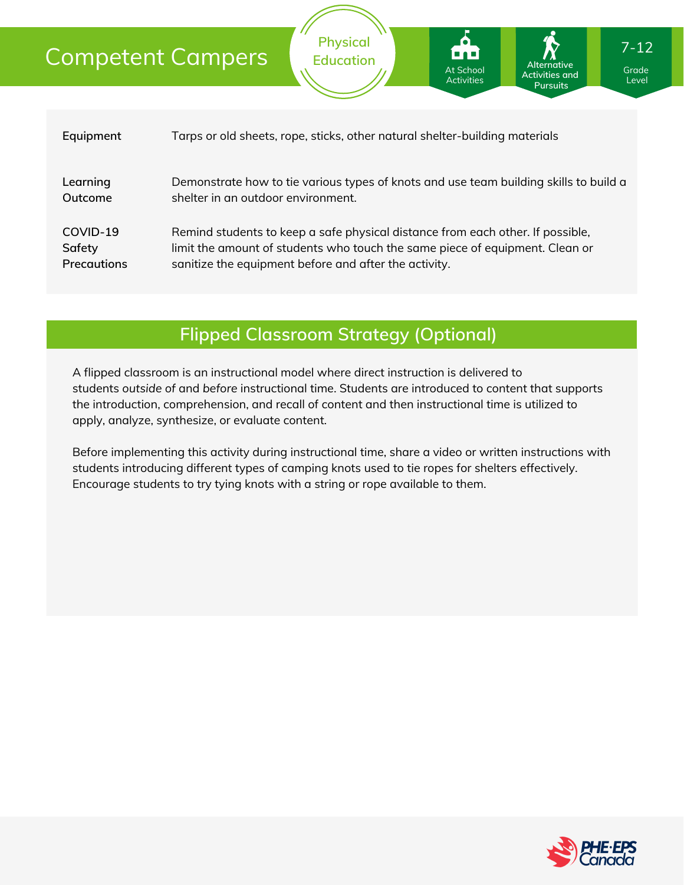### Competent Campers

| Equipment          | Tarps or old sheets, rope, sticks, other natural shelter-building materials           |
|--------------------|---------------------------------------------------------------------------------------|
| Learning           | Demonstrate how to tie various types of knots and use team building skills to build a |
| Outcome            | shelter in an outdoor environment.                                                    |
| COVID-19           | Remind students to keep a safe physical distance from each other. If possible,        |
| Safety             | limit the amount of students who touch the same piece of equipment. Clean or          |
| <b>Precautions</b> | sanitize the equipment before and after the activity.                                 |

**Physical Education**

### **Flipped Classroom Strategy (Optional)**

A flipped classroom is an instructional model where direct instruction is delivered to students *outside of* and *before* instructional time. Students are introduced to content that supports the introduction, comprehension, and recall of content and then instructional time is utilized to apply, analyze, synthesize, or evaluate content.

Before implementing this activity during instructional time, share a video or written instructions with students introducing different types of camping knots used to tie ropes for shelters effectively. Encourage students to try tying knots with a string or rope available to them.



Grade Level

**Alternative Activities and Pursuits**

At School Activities

7-12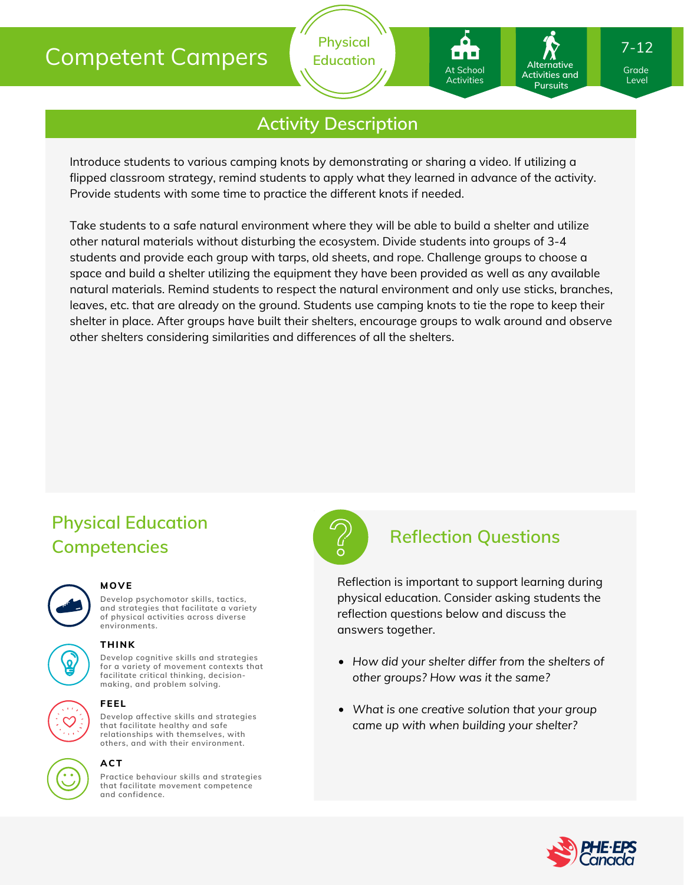## Competent Campers

### **Activity Description**

**Physical Education**

Introduce students to various camping knots by demonstrating or sharing a video. If utilizing a flipped classroom strategy, remind students to apply what they learned in advance of the activity. Provide students with some time to practice the different knots if needed.

Take students to a safe natural environment where they will be able to build a shelter and utilize other natural materials without disturbing the ecosystem. Divide students into groups of 3-4 students and provide each group with tarps, old sheets, and rope. Challenge groups to choose a space and build a shelter utilizing the equipment they have been provided as well as any available natural materials. Remind students to respect the natural environment and only use sticks, branches, leaves, etc. that are already on the ground. Students use camping knots to tie the rope to keep their shelter in place. After groups have built their shelters, encourage groups to walk around and observe other shelters considering similarities and differences of all the shelters.

## **Physical Education Competencies**



#### **MOVE**

**Develop psychomotor skills, tactics, and strategies that facilitate a variety of physical activities across diverse environments.**





### **THINK**

**Develop cognitive skills and strategies for a variety of movement contexts that facilitate critical thinking, decision making, and problem solving.**



#### **FEEL**

**Develop affective skills and strategies that facilitate healthy and safe relationships with themselves, with others, and with their environment.**



### **ACT**

**Practice behaviour skills and strategies that facilitate movement competence and confidence.**



### **Reflection Questions**

Reflection is important to support learning during physical education. Consider asking students the reflection questions below and discuss the answers together.

- *How did your shelter differ from the shelters of other groups? How was it the same?*
- *What is one creative solution that your group came up with when building your shelter?*



Grade Grade Level Level

7-12

Activities and **Pursuits** 

**Alternative**

At School At School Activities Activities